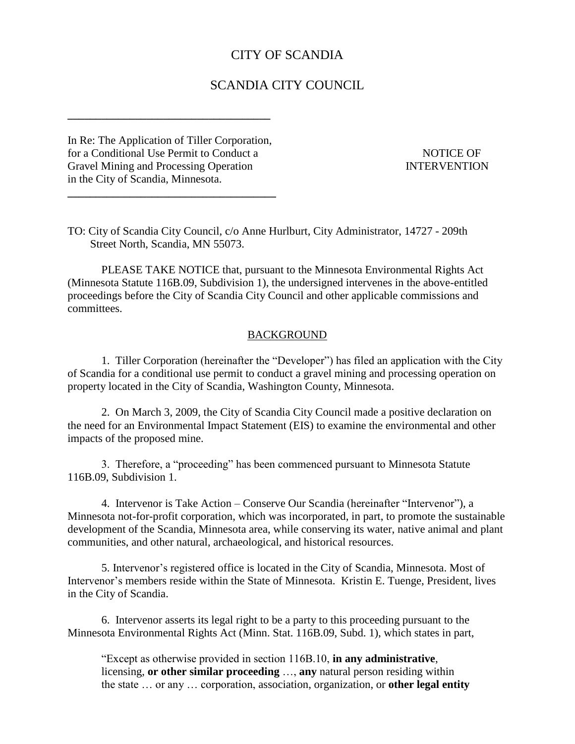# CITY OF SCANDIA

## SCANDIA CITY COUNCIL

In Re: The Application of Tiller Corporation, for a Conditional Use Permit to Conduct a NOTICE OF Gravel Mining and Processing Operation INTERVENTION in the City of Scandia, Minnesota.

**\_\_\_\_\_\_\_\_\_\_\_\_\_\_\_\_\_\_\_\_\_\_\_\_\_\_\_\_\_\_\_\_\_\_\_\_\_**

**\_\_\_\_\_\_\_\_\_\_\_\_\_\_\_\_\_\_\_\_\_\_\_\_\_\_\_\_\_\_\_\_\_\_\_\_**

TO: City of Scandia City Council, c/o Anne Hurlburt, City Administrator, 14727 - 209th Street North, Scandia, MN 55073.

PLEASE TAKE NOTICE that, pursuant to the Minnesota Environmental Rights Act (Minnesota Statute 116B.09, Subdivision 1), the undersigned intervenes in the above-entitled proceedings before the City of Scandia City Council and other applicable commissions and committees.

#### BACKGROUND

1. Tiller Corporation (hereinafter the "Developer") has filed an application with the City of Scandia for a conditional use permit to conduct a gravel mining and processing operation on property located in the City of Scandia, Washington County, Minnesota.

2. On March 3, 2009, the City of Scandia City Council made a positive declaration on the need for an Environmental Impact Statement (EIS) to examine the environmental and other impacts of the proposed mine.

3. Therefore, a "proceeding" has been commenced pursuant to Minnesota Statute 116B.09, Subdivision 1.

4. Intervenor is Take Action – Conserve Our Scandia (hereinafter "Intervenor"), a Minnesota not-for-profit corporation, which was incorporated, in part, to promote the sustainable development of the Scandia, Minnesota area, while conserving its water, native animal and plant communities, and other natural, archaeological, and historical resources.

5. Intervenor's registered office is located in the City of Scandia, Minnesota. Most of Intervenor's members reside within the State of Minnesota. Kristin E. Tuenge, President, lives in the City of Scandia.

6. Intervenor asserts its legal right to be a party to this proceeding pursuant to the Minnesota Environmental Rights Act (Minn. Stat. 116B.09, Subd. 1), which states in part,

"Except as otherwise provided in section 116B.10, **in any administrative**, licensing, **or other similar proceeding** …, **any** natural person residing within the state … or any … corporation, association, organization, or **other legal entity**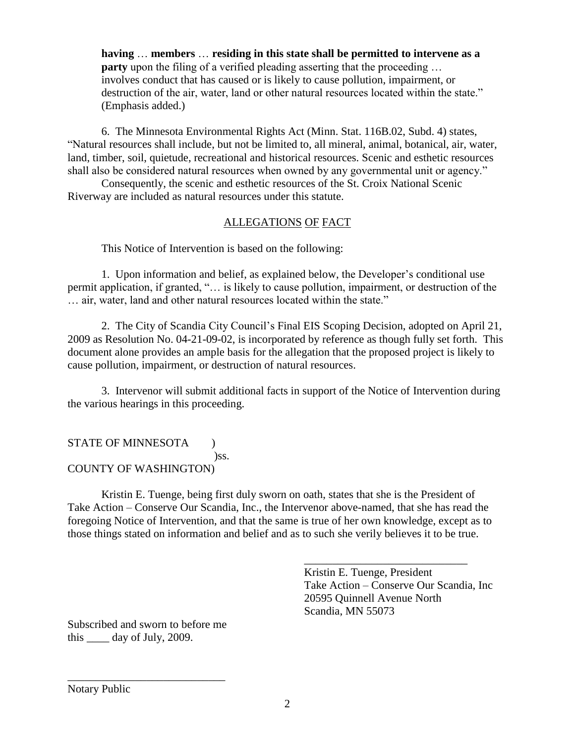**having** … **members** … **residing in this state shall be permitted to intervene as a party** upon the filing of a verified pleading asserting that the proceeding ... involves conduct that has caused or is likely to cause pollution, impairment, or destruction of the air, water, land or other natural resources located within the state." (Emphasis added.)

6. The Minnesota Environmental Rights Act (Minn. Stat. 116B.02, Subd. 4) states, "Natural resources shall include, but not be limited to, all mineral, animal, botanical, air, water, land, timber, soil, quietude, recreational and historical resources. Scenic and esthetic resources shall also be considered natural resources when owned by any governmental unit or agency."

Consequently, the scenic and esthetic resources of the St. Croix National Scenic Riverway are included as natural resources under this statute.

## ALLEGATIONS OF FACT

This Notice of Intervention is based on the following:

1. Upon information and belief, as explained below, the Developer's conditional use permit application, if granted, "… is likely to cause pollution, impairment, or destruction of the … air, water, land and other natural resources located within the state."

2. The City of Scandia City Council's Final EIS Scoping Decision, adopted on April 21, 2009 as Resolution No. 04-21-09-02, is incorporated by reference as though fully set forth. This document alone provides an ample basis for the allegation that the proposed project is likely to cause pollution, impairment, or destruction of natural resources.

3. Intervenor will submit additional facts in support of the Notice of Intervention during the various hearings in this proceeding.

### STATE OF MINNESOTA (1) )ss. COUNTY OF WASHINGTON)

Kristin E. Tuenge, being first duly sworn on oath, states that she is the President of Take Action – Conserve Our Scandia, Inc., the Intervenor above-named, that she has read the foregoing Notice of Intervention, and that the same is true of her own knowledge, except as to those things stated on information and belief and as to such she verily believes it to be true.

> Kristin E. Tuenge, President Take Action – Conserve Our Scandia, Inc 20595 Quinnell Avenue North Scandia, MN 55073

\_\_\_\_\_\_\_\_\_\_\_\_\_\_\_\_\_\_\_\_\_\_\_\_\_\_\_\_\_

Subscribed and sworn to before me this day of July, 2009.

\_\_\_\_\_\_\_\_\_\_\_\_\_\_\_\_\_\_\_\_\_\_\_\_\_\_\_\_

Notary Public